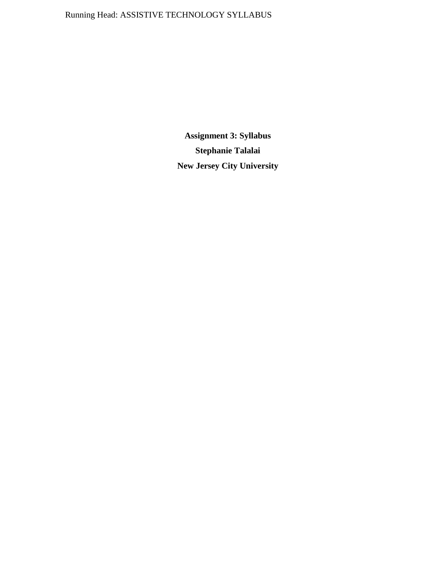# Running Head: ASSISTIVE TECHNOLOGY SYLLABUS

**Assignment 3: Syllabus Stephanie Talalai New Jersey City University**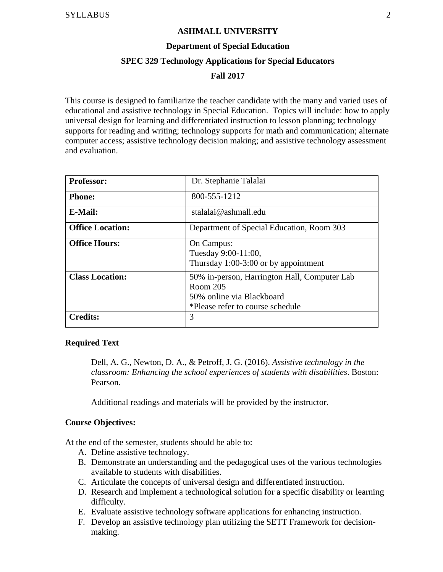#### **ASHMALL UNIVERSITY**

#### **Department of Special Education**

#### **SPEC 329 Technology Applications for Special Educators**

#### **Fall 2017**

This course is designed to familiarize the teacher candidate with the many and varied uses of educational and assistive technology in Special Education. Topics will include: how to apply universal design for learning and differentiated instruction to lesson planning; technology supports for reading and writing; technology supports for math and communication; alternate computer access; assistive technology decision making; and assistive technology assessment and evaluation.

| <b>Professor:</b>       | Dr. Stephanie Talalai                                                                                                     |
|-------------------------|---------------------------------------------------------------------------------------------------------------------------|
| <b>Phone:</b>           | 800-555-1212                                                                                                              |
| E-Mail:                 | stalalai@ashmall.edu                                                                                                      |
| <b>Office Location:</b> | Department of Special Education, Room 303                                                                                 |
| <b>Office Hours:</b>    | On Campus:<br>Tuesday 9:00-11:00,<br>Thursday $1:00-3:00$ or by appointment                                               |
| <b>Class Location:</b>  | 50% in-person, Harrington Hall, Computer Lab<br>Room 205<br>50% online via Blackboard<br>*Please refer to course schedule |
| <b>Credits:</b>         | 3                                                                                                                         |

#### **Required Text**

Dell, A. G., Newton, D. A., & Petroff, J. G. (2016). *Assistive technology in the classroom: Enhancing the school experiences of students with disabilities*. Boston: Pearson.

Additional readings and materials will be provided by the instructor.

#### **Course Objectives:**

At the end of the semester, students should be able to:

- A. Define assistive technology.
- B. Demonstrate an understanding and the pedagogical uses of the various technologies available to students with disabilities.
- C. Articulate the concepts of universal design and differentiated instruction.
- D. Research and implement a technological solution for a specific disability or learning difficulty.
- E. Evaluate assistive technology software applications for enhancing instruction.
- F. Develop an assistive technology plan utilizing the SETT Framework for decisionmaking.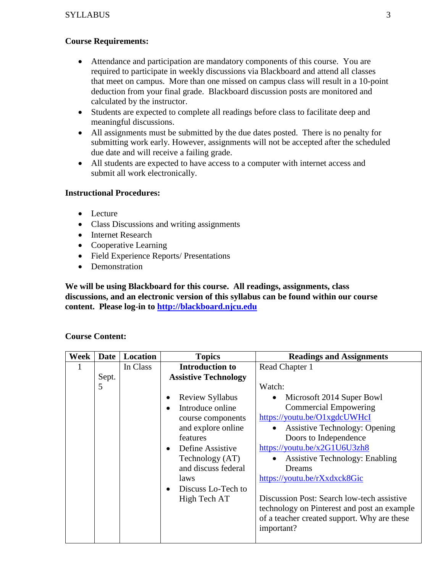## **Course Requirements:**

- Attendance and participation are mandatory components of this course. You are required to participate in weekly discussions via Blackboard and attend all classes that meet on campus. More than one missed on campus class will result in a 10-point deduction from your final grade. Blackboard discussion posts are monitored and calculated by the instructor.
- Students are expected to complete all readings before class to facilitate deep and meaningful discussions.
- All assignments must be submitted by the due dates posted. There is no penalty for submitting work early. However, assignments will not be accepted after the scheduled due date and will receive a failing grade.
- All students are expected to have access to a computer with internet access and submit all work electronically.

## **Instructional Procedures:**

- Lecture
- Class Discussions and writing assignments
- Internet Research
- Cooperative Learning
- Field Experience Reports/ Presentations
- Demonstration

**We will be using Blackboard for this course. All readings, assignments, class discussions, and an electronic version of this syllabus can be found within our course content. Please log-in to [http://blackboard.njcu.edu](http://blackboard.njcu.edu/)**

# **Course Content:**

| Week | Date  | <b>Location</b> | <b>Topics</b>                                                                                                                                                                                                              | <b>Readings and Assignments</b>                                                                                                                                                                                                                                                                                                                                                                                                         |
|------|-------|-----------------|----------------------------------------------------------------------------------------------------------------------------------------------------------------------------------------------------------------------------|-----------------------------------------------------------------------------------------------------------------------------------------------------------------------------------------------------------------------------------------------------------------------------------------------------------------------------------------------------------------------------------------------------------------------------------------|
| 1    |       | In Class        | <b>Introduction to</b>                                                                                                                                                                                                     | Read Chapter 1                                                                                                                                                                                                                                                                                                                                                                                                                          |
|      | Sept. |                 | <b>Assistive Technology</b>                                                                                                                                                                                                |                                                                                                                                                                                                                                                                                                                                                                                                                                         |
|      | 5     |                 |                                                                                                                                                                                                                            | Watch:                                                                                                                                                                                                                                                                                                                                                                                                                                  |
|      |       |                 | <b>Review Syllabus</b><br>Introduce online<br>course components<br>and explore online<br>features<br>Define Assistive<br>$\bullet$<br>Technology (AT)<br>and discuss federal<br>laws<br>Discuss Lo-Tech to<br>High Tech AT | Microsoft 2014 Super Bowl<br><b>Commercial Empowering</b><br>https://youtu.be/O1xgdcUWHcI<br><b>Assistive Technology: Opening</b><br>Doors to Independence<br>https://youtu.be/x2G1U6U3zh8<br><b>Assistive Technology: Enabling</b><br>Dreams<br>https://youtu.be/rXxdxck8Gic<br>Discussion Post: Search low-tech assistive<br>technology on Pinterest and post an example<br>of a teacher created support. Why are these<br>important? |
|      |       |                 |                                                                                                                                                                                                                            |                                                                                                                                                                                                                                                                                                                                                                                                                                         |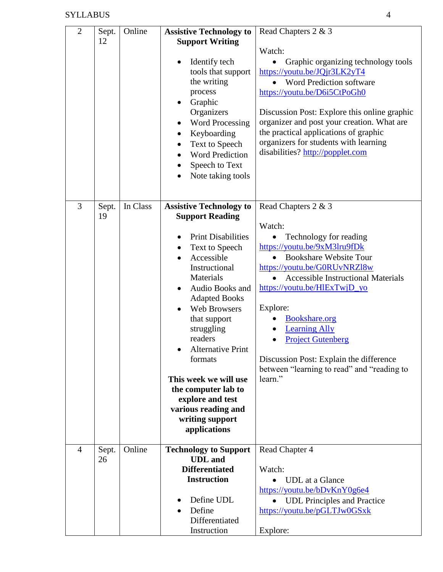| $\overline{2}$ | Sept.<br>12 | Online   | <b>Assistive Technology to</b><br><b>Support Writing</b><br>Identify tech<br>tools that support<br>the writing<br>process<br>Graphic<br>Organizers<br><b>Word Processing</b><br>Keyboarding<br>$\bullet$<br>Text to Speech<br><b>Word Prediction</b><br>Speech to Text<br>Note taking tools                                                                                                                                                      | Read Chapters 2 & 3<br>Watch:<br>Graphic organizing technology tools<br>https://youtu.be/JQjr3LK2yT4<br>Word Prediction software<br>https://youtu.be/D6i5CtPoGh0<br>Discussion Post: Explore this online graphic<br>organizer and post your creation. What are<br>the practical applications of graphic<br>organizers for students with learning<br>disabilities? http://popplet.com                                              |
|----------------|-------------|----------|--------------------------------------------------------------------------------------------------------------------------------------------------------------------------------------------------------------------------------------------------------------------------------------------------------------------------------------------------------------------------------------------------------------------------------------------------|-----------------------------------------------------------------------------------------------------------------------------------------------------------------------------------------------------------------------------------------------------------------------------------------------------------------------------------------------------------------------------------------------------------------------------------|
| 3              | Sept.<br>19 | In Class | <b>Assistive Technology to</b><br><b>Support Reading</b><br><b>Print Disabilities</b><br>Text to Speech<br>Accessible<br>Instructional<br>Materials<br>Audio Books and<br><b>Adapted Books</b><br><b>Web Browsers</b><br>that support<br>struggling<br>readers<br><b>Alternative Print</b><br>$\bullet$<br>formats<br>This week we will use<br>the computer lab to<br>explore and test<br>various reading and<br>writing support<br>applications | Read Chapters 2 & 3<br>Watch:<br>Technology for reading<br>https://youtu.be/9xM3lru9fDk<br><b>Bookshare Website Tour</b><br>https://youtu.be/G0RUvNRZl8w<br><b>Accessible Instructional Materials</b><br>https://youtu.be/HlExTwjD_yo<br>Explore:<br><b>Bookshare.org</b><br><b>Learning Ally</b><br><b>Project Gutenberg</b><br>Discussion Post: Explain the difference<br>between "learning to read" and "reading to<br>learn." |
| $\overline{4}$ | Sept.<br>26 | Online   | <b>Technology to Support</b><br><b>UDL</b> and<br><b>Differentiated</b><br><b>Instruction</b><br>Define UDL<br>Define<br>Differentiated<br>Instruction                                                                                                                                                                                                                                                                                           | Read Chapter 4<br>Watch:<br><b>UDL</b> at a Glance<br>https://youtu.be/bDvKnY0g6e4<br><b>UDL</b> Principles and Practice<br>https://youtu.be/pGLTJw0GSxk<br>Explore:                                                                                                                                                                                                                                                              |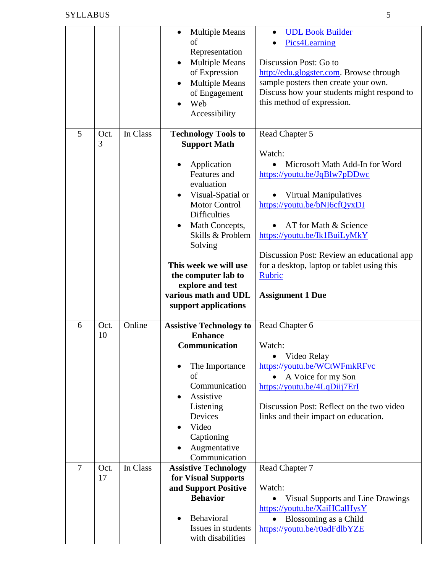|                |            |          | <b>Multiple Means</b>                   | <b>UDL Book Builder</b>                               |
|----------------|------------|----------|-----------------------------------------|-------------------------------------------------------|
|                |            |          | οf                                      | Pics4Learning                                         |
|                |            |          | Representation                          |                                                       |
|                |            |          | <b>Multiple Means</b>                   | Discussion Post: Go to                                |
|                |            |          | of Expression                           | http://edu.glogster.com. Browse through               |
|                |            |          | <b>Multiple Means</b>                   | sample posters then create your own.                  |
|                |            |          | of Engagement                           | Discuss how your students might respond to            |
|                |            |          | Web                                     | this method of expression.                            |
|                |            |          | Accessibility                           |                                                       |
|                |            |          |                                         |                                                       |
| 5              | Oct.       | In Class | <b>Technology Tools to</b>              | Read Chapter 5                                        |
|                | 3          |          | <b>Support Math</b>                     |                                                       |
|                |            |          |                                         | Watch:                                                |
|                |            |          | Application                             | Microsoft Math Add-In for Word                        |
|                |            |          | Features and                            | https://youtu.be/JqBlw7pDDwc                          |
|                |            |          | evaluation                              |                                                       |
|                |            |          | Visual-Spatial or                       | Virtual Manipulatives                                 |
|                |            |          | <b>Motor Control</b>                    | https://youtu.be/bNI6cfQyxDI                          |
|                |            |          | <b>Difficulties</b>                     |                                                       |
|                |            |          | Math Concepts,                          | AT for Math & Science                                 |
|                |            |          | Skills & Problem                        | https://youtu.be/Ik1BuiLyMkY                          |
|                |            |          | Solving                                 |                                                       |
|                |            |          |                                         | Discussion Post: Review an educational app            |
|                |            |          | This week we will use                   | for a desktop, laptop or tablet using this            |
|                |            |          | the computer lab to                     | <b>Rubric</b>                                         |
|                |            |          |                                         |                                                       |
|                |            |          | explore and test                        |                                                       |
|                |            |          | various math and UDL                    | <b>Assignment 1 Due</b>                               |
|                |            |          | support applications                    |                                                       |
|                |            |          |                                         |                                                       |
| 6              | Oct.       | Online   | <b>Assistive Technology to</b>          | Read Chapter 6                                        |
|                | 10         |          | <b>Enhance</b>                          |                                                       |
|                |            |          | Communication                           | Watch:                                                |
|                |            |          |                                         | Video Relay                                           |
|                |            |          | The Importance                          | https://youtu.be/WCtWFmkRFvc                          |
|                |            |          | of                                      | A Voice for my Son                                    |
|                |            |          | Communication                           | https://youtu.be/4LqDiij7ErI                          |
|                |            |          | Assistive                               |                                                       |
|                |            |          | Listening                               | Discussion Post: Reflect on the two video             |
|                |            |          | Devices                                 | links and their impact on education.                  |
|                |            |          | Video                                   |                                                       |
|                |            |          | Captioning                              |                                                       |
|                |            |          | Augmentative                            |                                                       |
| $\overline{7}$ |            |          | Communication                           |                                                       |
|                | Oct.<br>17 | In Class | <b>Assistive Technology</b>             | Read Chapter 7                                        |
|                |            |          | for Visual Supports                     | Watch:                                                |
|                |            |          | and Support Positive<br><b>Behavior</b> |                                                       |
|                |            |          |                                         | <b>Visual Supports and Line Drawings</b>              |
|                |            |          | Behavioral                              | https://youtu.be/XaiHCalHysY                          |
|                |            |          | Issues in students                      | Blossoming as a Child<br>https://youtu.be/r0adFdlbYZE |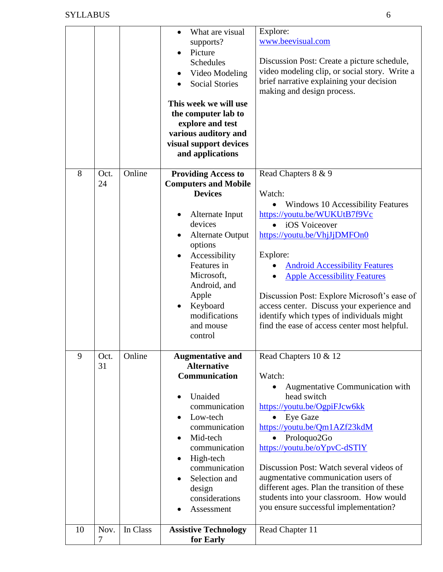|    |      |          | What are visual<br>$\bullet$ | Explore:                                      |
|----|------|----------|------------------------------|-----------------------------------------------|
|    |      |          | supports?                    | www.beevisual.com                             |
|    |      |          | Picture                      |                                               |
|    |      |          | Schedules                    | Discussion Post: Create a picture schedule,   |
|    |      |          | Video Modeling               | video modeling clip, or social story. Write a |
|    |      |          | <b>Social Stories</b>        | brief narrative explaining your decision      |
|    |      |          |                              | making and design process.                    |
|    |      |          | This week we will use        |                                               |
|    |      |          | the computer lab to          |                                               |
|    |      |          | explore and test             |                                               |
|    |      |          | various auditory and         |                                               |
|    |      |          | visual support devices       |                                               |
|    |      |          | and applications             |                                               |
| 8  | Oct. | Online   | <b>Providing Access to</b>   | Read Chapters 8 & 9                           |
|    | 24   |          | <b>Computers and Mobile</b>  |                                               |
|    |      |          | <b>Devices</b>               | Watch:                                        |
|    |      |          |                              | <b>Windows 10 Accessibility Features</b>      |
|    |      |          | Alternate Input              | https://youtu.be/WUKUtB7f9Vc                  |
|    |      |          | devices                      | iOS Voiceover<br>$\bullet$                    |
|    |      |          | <b>Alternate Output</b>      | https://youtu.be/VhjJjDMFOn0                  |
|    |      |          | options                      |                                               |
|    |      |          | Accessibility                | Explore:                                      |
|    |      |          | Features in                  | <b>Android Accessibility Features</b>         |
|    |      |          | Microsoft,                   | <b>Apple Accessibility Features</b>           |
|    |      |          | Android, and                 |                                               |
|    |      |          | Apple                        | Discussion Post: Explore Microsoft's ease of  |
|    |      |          | Keyboard<br>$\bullet$        | access center. Discuss your experience and    |
|    |      |          | modifications                | identify which types of individuals might     |
|    |      |          | and mouse                    | find the ease of access center most helpful.  |
|    |      |          | control                      |                                               |
| 9  | Oct. | Online   | <b>Augmentative and</b>      | Read Chapters 10 & 12                         |
|    | 31   |          | <b>Alternative</b>           |                                               |
|    |      |          | Communication                | Watch:                                        |
|    |      |          |                              | Augmentative Communication with               |
|    |      |          | Unaided                      | head switch                                   |
|    |      |          | communication                | https://youtu.be/OgpiFJcw6kk                  |
|    |      |          | Low-tech                     | <b>Eye Gaze</b>                               |
|    |      |          | communication                | https://youtu.be/Qm1AZf23kdM                  |
|    |      |          | Mid-tech                     | Proloquo2Go                                   |
|    |      |          | communication                | https://youtu.be/oYpvC-dSTlY                  |
|    |      |          | High-tech<br>$\bullet$       |                                               |
|    |      |          | communication                | Discussion Post: Watch several videos of      |
|    |      |          | Selection and                | augmentative communication users of           |
|    |      |          | design                       | different ages. Plan the transition of these  |
|    |      |          | considerations               | students into your classroom. How would       |
|    |      |          | Assessment                   | you ensure successful implementation?         |
|    |      |          |                              |                                               |
| 10 | Nov. | In Class | <b>Assistive Technology</b>  | Read Chapter 11                               |
|    | 7    |          | for Early                    |                                               |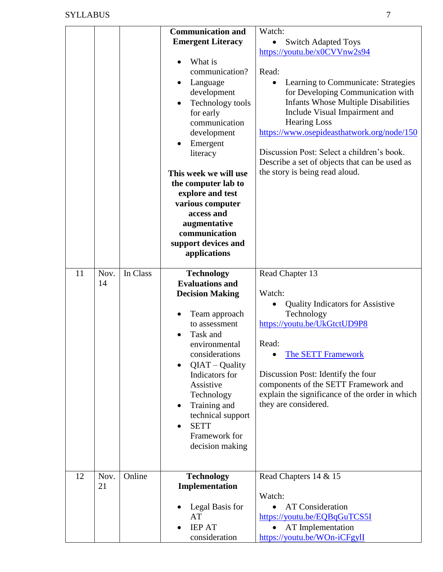|    |            |          | <b>Communication and</b><br><b>Emergent Literacy</b><br>What is<br>communication?<br>Language<br>development<br>Technology tools<br>for early<br>communication<br>development<br>Emergent<br>literacy<br>This week we will use<br>the computer lab to<br>explore and test<br>various computer<br>access and<br>augmentative<br>communication<br>support devices and<br>applications | Watch:<br><b>Switch Adapted Toys</b><br>https://youtu.be/x0CVVnw2s94<br>Read:<br>Learning to Communicate: Strategies<br>for Developing Communication with<br><b>Infants Whose Multiple Disabilities</b><br>Include Visual Impairment and<br><b>Hearing Loss</b><br>https://www.osepideasthatwork.org/node/150<br>Discussion Post: Select a children's book.<br>Describe a set of objects that can be used as<br>the story is being read aloud. |
|----|------------|----------|-------------------------------------------------------------------------------------------------------------------------------------------------------------------------------------------------------------------------------------------------------------------------------------------------------------------------------------------------------------------------------------|------------------------------------------------------------------------------------------------------------------------------------------------------------------------------------------------------------------------------------------------------------------------------------------------------------------------------------------------------------------------------------------------------------------------------------------------|
| 11 | Nov.<br>14 | In Class | <b>Technology</b><br><b>Evaluations and</b><br><b>Decision Making</b><br>Team approach<br>to assessment<br>Task and<br>environmental<br>considerations<br>QIAT - Quality<br>Indicators for<br>Assistive<br>Technology<br>Training and<br>technical support<br><b>SETT</b><br>Framework for<br>decision making                                                                       | Read Chapter 13<br>Watch:<br><b>Quality Indicators for Assistive</b><br>Technology<br>https://youtu.be/UkGtctUD9P8<br>Read:<br><b>The SETT Framework</b><br>Discussion Post: Identify the four<br>components of the SETT Framework and<br>explain the significance of the order in which<br>they are considered.                                                                                                                               |
| 12 | Nov.<br>21 | Online   | <b>Technology</b><br>Implementation<br>Legal Basis for<br>AT<br><b>IEP AT</b><br>consideration                                                                                                                                                                                                                                                                                      | Read Chapters 14 & 15<br>Watch:<br><b>AT Consideration</b><br>https://youtu.be/EQBqGuTCS5I<br>AT Implementation<br>https://youtu.be/WOn-iCFgylI                                                                                                                                                                                                                                                                                                |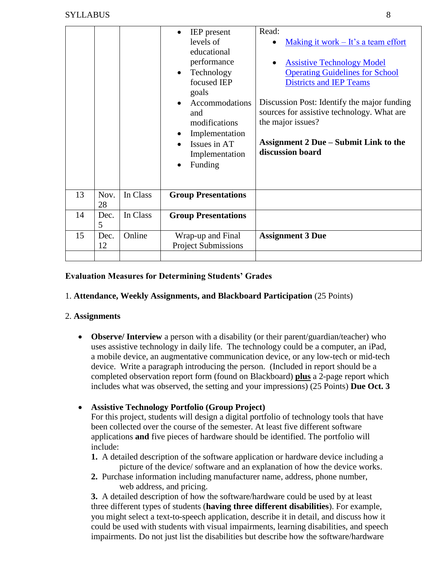|    |            |          | <b>IEP</b> present<br>levels of<br>educational<br>performance<br>Technology<br>$\bullet$<br>focused IEP<br>goals<br>Accommodations<br>and<br>modifications<br>Implementation<br>Issues in AT<br>Implementation<br>Funding | Read:<br>Making it work $-$ It's a team effort<br><b>Assistive Technology Model</b><br><b>Operating Guidelines for School</b><br><b>Districts and IEP Teams</b><br>Discussion Post: Identify the major funding<br>sources for assistive technology. What are<br>the major issues?<br><b>Assignment 2 Due – Submit Link to the</b><br>discussion board |
|----|------------|----------|---------------------------------------------------------------------------------------------------------------------------------------------------------------------------------------------------------------------------|-------------------------------------------------------------------------------------------------------------------------------------------------------------------------------------------------------------------------------------------------------------------------------------------------------------------------------------------------------|
| 13 | Nov.<br>28 | In Class | <b>Group Presentations</b>                                                                                                                                                                                                |                                                                                                                                                                                                                                                                                                                                                       |
| 14 | Dec.<br>5  | In Class | <b>Group Presentations</b>                                                                                                                                                                                                |                                                                                                                                                                                                                                                                                                                                                       |
| 15 | Dec.<br>12 | Online   | Wrap-up and Final<br><b>Project Submissions</b>                                                                                                                                                                           | <b>Assignment 3 Due</b>                                                                                                                                                                                                                                                                                                                               |
|    |            |          |                                                                                                                                                                                                                           |                                                                                                                                                                                                                                                                                                                                                       |

# **Evaluation Measures for Determining Students' Grades**

## 1. **Attendance, Weekly Assignments, and Blackboard Participation** (25 Points)

## 2. **Assignments**

• **Observe/ Interview** a person with a disability (or their parent/guardian/teacher) who uses assistive technology in daily life. The technology could be a computer, an iPad, a mobile device, an augmentative communication device, or any low-tech or mid-tech device. Write a paragraph introducing the person. (Included in report should be a completed observation report form (found on Blackboard) **plus** a 2-page report which includes what was observed, the setting and your impressions) (25 Points) **Due Oct. 3**

## **Assistive Technology Portfolio (Group Project)**

For this project, students will design a digital portfolio of technology tools that have been collected over the course of the semester. At least five different software applications **and** five pieces of hardware should be identified. The portfolio will include:

- **1.** A detailed description of the software application or hardware device including a picture of the device/ software and an explanation of how the device works.
- **2.** Purchase information including manufacturer name, address, phone number, web address, and pricing.

**3.** A detailed description of how the software/hardware could be used by at least three different types of students (**having three different disabilities**). For example, you might select a text-to-speech application, describe it in detail, and discuss how it could be used with students with visual impairments, learning disabilities, and speech impairments. Do not just list the disabilities but describe how the software/hardware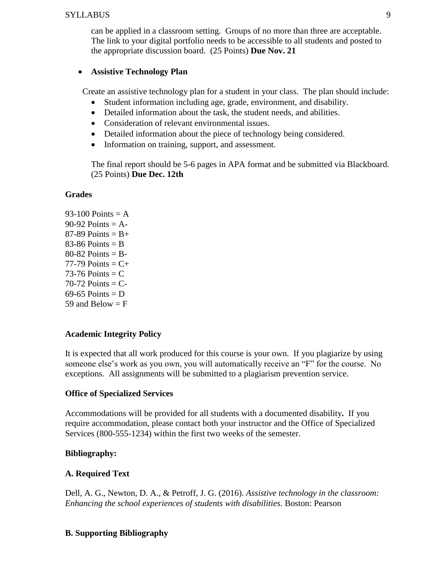can be applied in a classroom setting. Groups of no more than three are acceptable. The link to your digital portfolio needs to be accessible to all students and posted to the appropriate discussion board. (25 Points) **Due Nov. 21**

## **Assistive Technology Plan**

Create an assistive technology plan for a student in your class. The plan should include:

- Student information including age, grade, environment, and disability.
- Detailed information about the task, the student needs, and abilities.
- Consideration of relevant environmental issues.
- Detailed information about the piece of technology being considered.
- Information on training, support, and assessment.

The final report should be 5-6 pages in APA format and be submitted via Blackboard. (25 Points) **Due Dec. 12th**

## **Grades**

93-100 Points  $= A$  $90-92$  Points = A- $87-89$  Points = B+  $83-86$  Points = B  $80-82$  Points = B- $77-79$  Points =  $C+$  $73-76$  Points = C  $70-72$  Points = C-69-65 Points  $= D$ 59 and Below  $=$  F

# **Academic Integrity Policy**

It is expected that all work produced for this course is your own. If you plagiarize by using someone else's work as you own, you will automatically receive an "F" for the course. No exceptions. All assignments will be submitted to a plagiarism prevention service.

## **Office of Specialized Services**

Accommodations will be provided for all students with a documented disability**.** If you require accommodation, please contact both your instructor and the Office of Specialized Services (800-555-1234) within the first two weeks of the semester.

## **Bibliography:**

## **A. Required Text**

Dell, A. G., Newton, D. A., & Petroff, J. G. (2016). *Assistive technology in the classroom: Enhancing the school experiences of students with disabilities*. Boston: Pearson

# **B. Supporting Bibliography**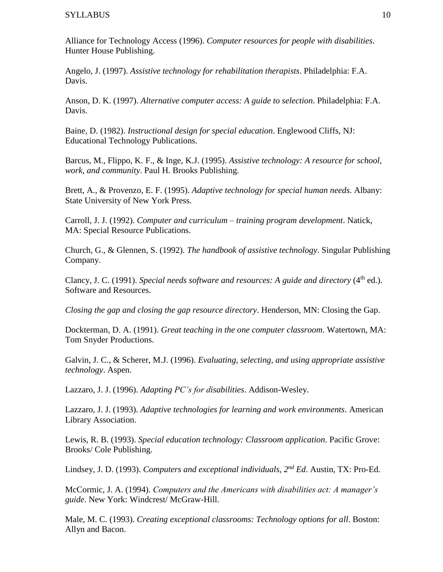Alliance for Technology Access (1996). *Computer resources for people with disabilities*. Hunter House Publishing.

Angelo, J. (1997). *Assistive technology for rehabilitation therapists*. Philadelphia: F.A. Davis.

Anson, D. K. (1997). *Alternative computer access: A guide to selection*. Philadelphia: F.A. Davis.

Baine, D. (1982). *Instructional design for special education*. Englewood Cliffs, NJ: Educational Technology Publications.

Barcus, M., Flippo, K. F., & Inge, K.J. (1995). *Assistive technology: A resource for school, work, and community*. Paul H. Brooks Publishing.

Brett, A., & Provenzo, E. F. (1995). *Adaptive technology for special human needs*. Albany: State University of New York Press.

Carroll, J. J. (1992). *Computer and curriculum – training program development*. Natick, MA: Special Resource Publications.

Church, G., & Glennen, S. (1992). *The handbook of assistive technology*. Singular Publishing Company.

Clancy, J. C. (1991). *Special needs software and resources: A guide and directory* (4<sup>th</sup> ed.). Software and Resources.

*Closing the gap and closing the gap resource directory*. Henderson, MN: Closing the Gap.

Dockterman, D. A. (1991). *Great teaching in the one computer classroom*. Watertown, MA: Tom Snyder Productions.

Galvin, J. C., & Scherer, M.J. (1996). *Evaluating, selecting, and using appropriate assistive technology*. Aspen.

Lazzaro, J. J. (1996). *Adapting PC's for disabilities*. Addison-Wesley.

Lazzaro, J. J. (1993). *Adaptive technologies for learning and work environments*. American Library Association.

Lewis, R. B. (1993). *Special education technology: Classroom application*. Pacific Grove: Brooks/ Cole Publishing.

Lindsey, J. D. (1993). *Computers and exceptional individuals, 2nd Ed*. Austin, TX: Pro-Ed.

McCormic, J. A. (1994). *Computers and the Americans with disabilities act: A manager's guide*. New York: Windcrest/ McGraw-Hill.

Male, M. C. (1993). *Creating exceptional classrooms: Technology options for all*. Boston: Allyn and Bacon.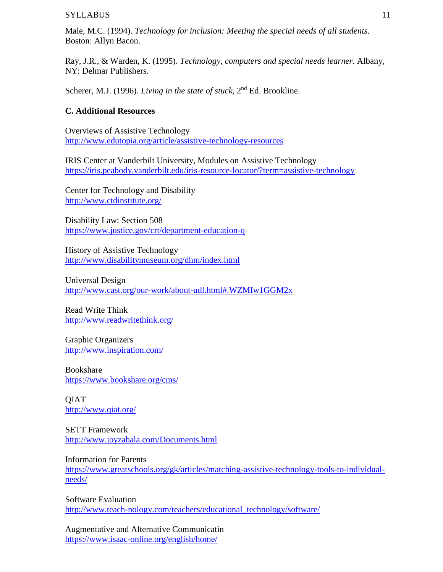Male, M.C. (1994). *Technology for inclusion: Meeting the special needs of all students*. Boston: Allyn Bacon.

Ray, J.R., & Warden, K. (1995). *Technology, computers and special needs learner*. Albany, NY: Delmar Publishers.

Scherer, M.J. (1996). *Living in the state of stuck*, 2<sup>nd</sup> Ed. Brookline.

#### **C. Additional Resources**

Overviews of Assistive Technology <http://www.edutopia.org/article/assistive-technology-resources>

IRIS Center at Vanderbilt University, Modules on Assistive Technology <https://iris.peabody.vanderbilt.edu/iris-resource-locator/?term=assistive-technology>

Center for Technology and Disability <http://www.ctdinstitute.org/>

Disability Law: Section 508 <https://www.justice.gov/crt/department-education-q>

History of Assistive Technology <http://www.disabilitymuseum.org/dhm/index.html>

Universal Design <http://www.cast.org/our-work/about-udl.html#.WZMIw1GGM2x>

Read Write Think <http://www.readwritethink.org/>

Graphic Organizers <http://www.inspiration.com/>

Bookshare <https://www.bookshare.org/cms/>

QIAT <http://www.qiat.org/>

SETT Framework <http://www.joyzabala.com/Documents.html>

Information for Parents [https://www.greatschools.org/gk/articles/matching-assistive-technology-tools-to-individual](https://www.greatschools.org/gk/articles/matching-assistive-technology-tools-to-individual-needs/)[needs/](https://www.greatschools.org/gk/articles/matching-assistive-technology-tools-to-individual-needs/)

Software Evaluation [http://www.teach-nology.com/teachers/educational\\_technology/software/](http://www.teach-nology.com/teachers/educational_technology/software/)

Augmentative and Alternative Communicatin <https://www.isaac-online.org/english/home/>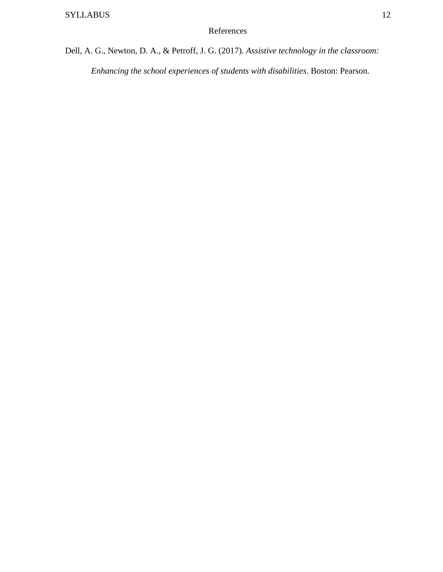Dell, A. G., Newton, D. A., & Petroff, J. G. (2017). *Assistive technology in the classroom: Enhancing the school experiences of students with disabilities*. Boston: Pearson.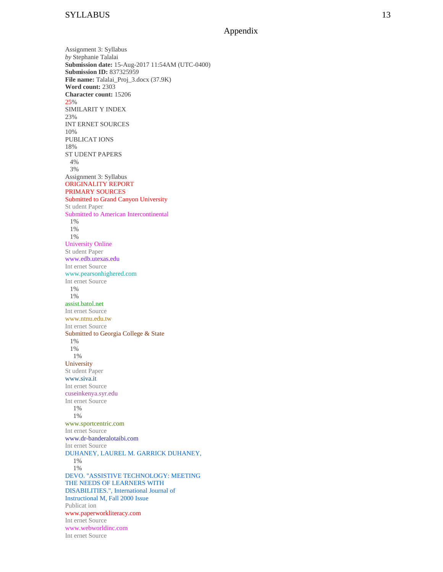Appendix

Assignment 3: Syllabus *by* Stephanie Talalai **Submission date:** 15 -Aug -2017 11:54AM (UTC -0400) **Submission ID:** 837325959 File name: Talalai\_Proj\_3.docx (37.9K) **Word count:** 2303 **Character count:** 15206 25 % SIMILARIT Y INDEX 23% INT ERNET SOURCES 10% PUBLICAT IONS 18% ST UDENT PAPERS 1 4% 2 3% Assignment 3: Syllabus ORIGINALITY REPORT PRIMARY SOURCES Submitted to Grand Canyon University St udent Paper Submitted to American Intercontinental 1% 1% 1% University Online St udent Paper www.edb.utexas.edu Int ernet Source www.pearsonhighered.com Int ernet Source  $1%$ 1% assist.batol.net Int ernet Source www.ntnu.edu.tw Int ernet Source Submitted to Georgia College & State 1% 1% 1% **University** St udent Paper www.siva.it Int ernet Source cuseinkenya.syr.edu Int ernet Source 1% 1% www.sportcentric.com Int ernet Source www.dr -banderalotaibi.com Int ernet Source DUHANEY, LAUREL M. GARRICK DUHANEY, 13 1% 1% DEVO. "ASSISTIVE TECHNOLOGY: MEETING THE NEEDS OF LEARNERS WITH DISABILITIES.", International Journal of Instructional M, Fall 2000 Issue Publicat ion www.paperworkliteracy.com Int ernet Source www.webworldinc.com Int ernet Source